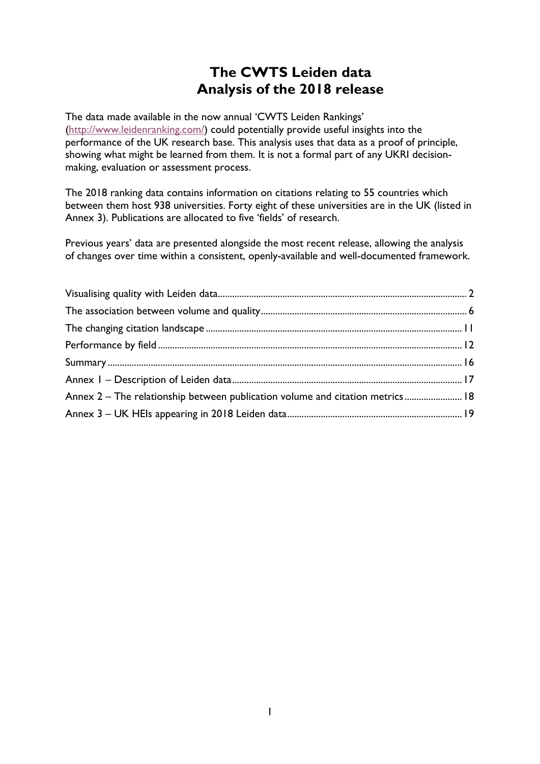# **The CWTS Leiden data Analysis of the 2018 release**

The data made available in the now annual 'CWTS Leiden Rankings' [\(http://www.leidenranking.com/\)](http://www.leidenranking.com/) could potentially provide useful insights into the performance of the UK research base. This analysis uses that data as a proof of principle, showing what might be learned from them. It is not a formal part of any UKRI decisionmaking, evaluation or assessment process.

The 2018 ranking data contains information on citations relating to 55 countries which between them host 938 universities. Forty eight of these universities are in the UK (listed in Annex 3). Publications are allocated to five 'fields' of research.

Previous years' data are presented alongside the most recent release, allowing the analysis of changes over time within a consistent, openly-available and well-documented framework.

| Annex 2 - The relationship between publication volume and citation metrics 18 |  |
|-------------------------------------------------------------------------------|--|
|                                                                               |  |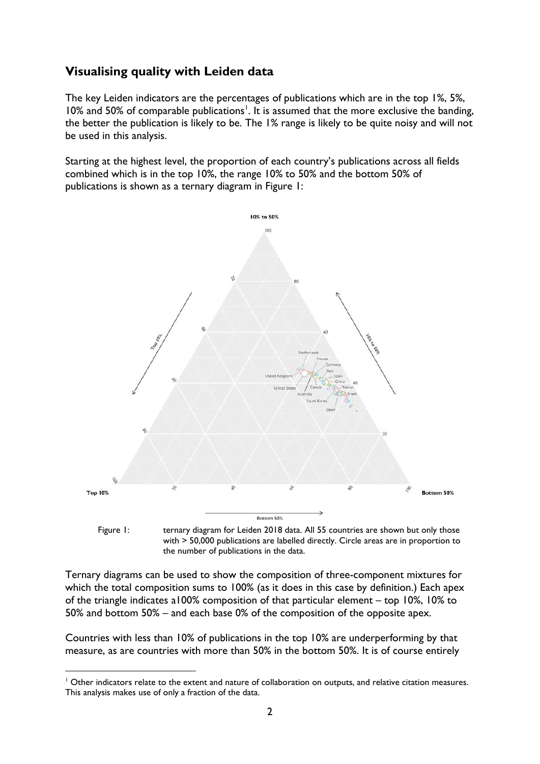### <span id="page-1-0"></span>**Visualising quality with Leiden data**

The key Leiden indicators are the percentages of publications which are in the top 1%, 5%, [1](#page-1-1)0% and 50% of comparable publications<sup>1</sup>. It is assumed that the more exclusive the banding, the better the publication is likely to be. The 1% range is likely to be quite noisy and will not be used in this analysis.

Starting at the highest level, the proportion of each country's publications across all fields combined which is in the top 10%, the range 10% to 50% and the bottom 50% of publications is shown as a ternary diagram in Figure 1:



Figure 1: ternary diagram for Leiden 2018 data. All 55 countries are shown but only those with > 50,000 publications are labelled directly. Circle areas are in proportion to the number of publications in the data.

Ternary diagrams can be used to show the composition of three-component mixtures for which the total composition sums to 100% (as it does in this case by definition.) Each apex of the triangle indicates a100% composition of that particular element – top 10%, 10% to 50% and bottom 50% – and each base 0% of the composition of the opposite apex.

Countries with less than 10% of publications in the top 10% are underperforming by that measure, as are countries with more than 50% in the bottom 50%. It is of course entirely

<span id="page-1-1"></span><sup>&</sup>lt;sup>1</sup> Other indicators relate to the extent and nature of collaboration on outputs, and relative citation measures. This analysis makes use of only a fraction of the data.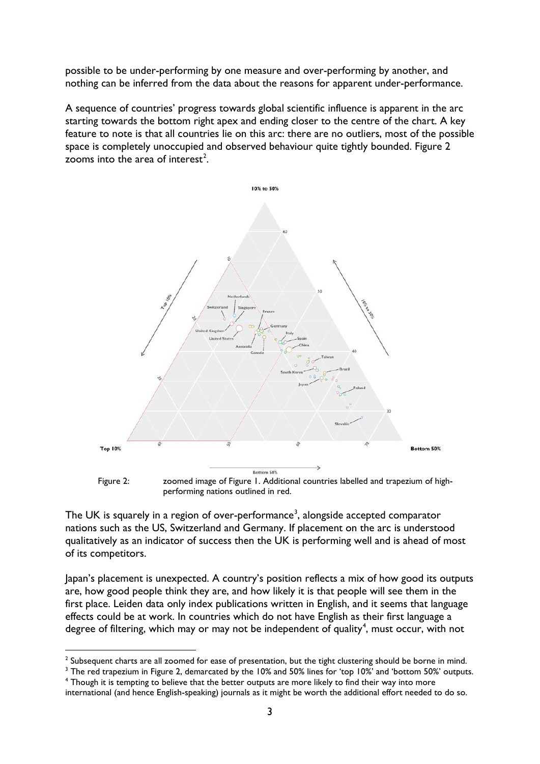possible to be under-performing by one measure and over-performing by another, and nothing can be inferred from the data about the reasons for apparent under-performance.

A sequence of countries' progress towards global scientific influence is apparent in the arc starting towards the bottom right apex and ending closer to the centre of the chart. A key feature to note is that all countries lie on this arc: there are no outliers, most of the possible space is completely unoccupied and observed behaviour quite tightly bounded. Figure 2 zooms into the area of interest<sup>[2](#page-2-0)</sup>.



performing nations outlined in red.

The UK is squarely in a region of over-performance<sup>[3](#page-2-1)</sup>, alongside accepted comparator nations such as the US, Switzerland and Germany. If placement on the arc is understood qualitatively as an indicator of success then the UK is performing well and is ahead of most of its competitors.

Japan's placement is unexpected. A country's position reflects a mix of how good its outputs are, how good people think they are, and how likely it is that people will see them in the first place. Leiden data only index publications written in English, and it seems that language effects could be at work. In countries which do not have English as their first language a degree of filtering, which may or may not be independent of quality<sup>[4](#page-2-2)</sup>, must occur, with not

<span id="page-2-1"></span><sup>3</sup> The red trapezium in Figure 2, demarcated by the 10% and 50% lines for 'top 10%' and 'bottom 50%' outputs.

<span id="page-2-0"></span> $2$  Subsequent charts are all zoomed for ease of presentation, but the tight clustering should be borne in mind.

<span id="page-2-2"></span><sup>4</sup> Though it is tempting to believe that the better outputs are more likely to find their way into more international (and hence English-speaking) journals as it might be worth the additional effort needed to do so.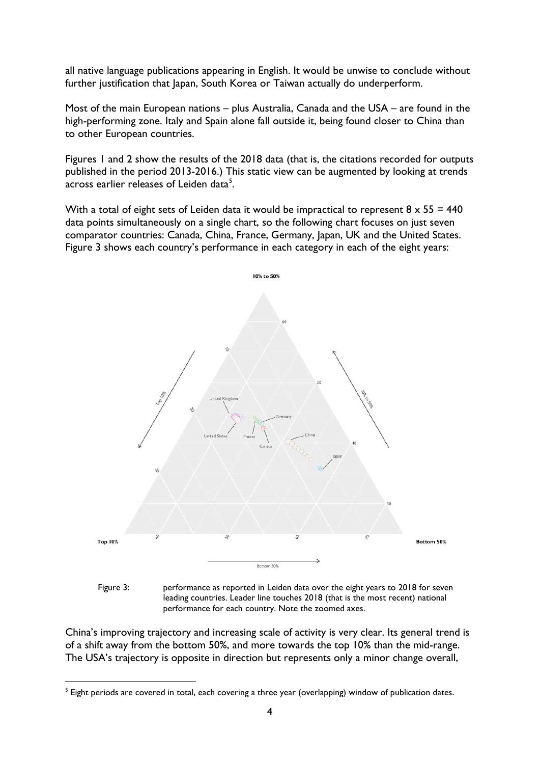all native language publications appearing in English. It would be unwise to conclude without further justification that Japan, South Korea or Taiwan actually do underperform.

Most of the main European nations – plus Australia, Canada and the USA – are found in the high-performing zone. Italy and Spain alone fall outside it, being found closer to China than to other European countries.

Figures 1 and 2 show the results of the 2018 data (that is, the citations recorded for outputs published in the period 2013-2016.) This static view can be augmented by looking at trends across earlier releases of Leiden data $^5$  $^5$ .

With a total of eight sets of Leiden data it would be impractical to represent  $8 \times 55 = 440$ data points simultaneously on a single chart, so the following chart focuses on just seven comparator countries: Canada, China, France, Germany, Japan, UK and the United States. Figure 3 shows each country's performance in each category in each of the eight years:





China's improving trajectory and increasing scale of activity is very clear. Its general trend is of a shift away from the bottom 50%, and more towards the top 10% than the mid-range. The USA's trajectory is opposite in direction but represents only a minor change overall,

<span id="page-3-0"></span> $<sup>5</sup>$  Eight periods are covered in total, each covering a three year (overlapping) window of publication dates.</sup>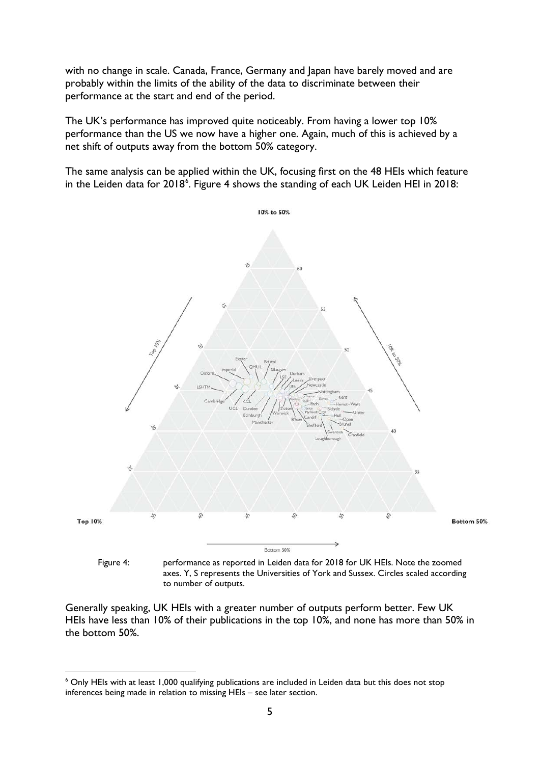with no change in scale. Canada, France, Germany and Japan have barely moved and are probably within the limits of the ability of the data to discriminate between their performance at the start and end of the period.

The UK's performance has improved quite noticeably. From having a lower top 10% performance than the US we now have a higher one. Again, much of this is achieved by a net shift of outputs away from the bottom 50% category.

The same analysis can be applied within the UK, focusing first on the 48 HEIs which feature in the Leiden data for 2018<sup>[6](#page-4-0)</sup>. Figure 4 shows the standing of each UK Leiden HEI in 2018:



to number of outputs.

Generally speaking, UK HEIs with a greater number of outputs perform better. Few UK HEIs have less than 10% of their publications in the top 10%, and none has more than 50% in the bottom 50%.

<span id="page-4-0"></span><sup>&</sup>lt;sup>6</sup> Only HEIs with at least 1,000 qualifying publications are included in Leiden data but this does not stop inferences being made in relation to missing HEIs – see later section.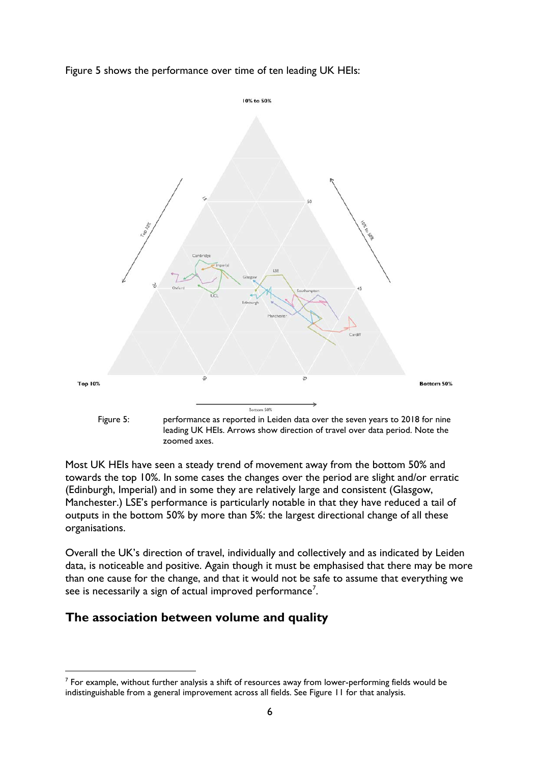Figure 5 shows the performance over time of ten leading UK HEIs:



Most UK HEIs have seen a steady trend of movement away from the bottom 50% and towards the top 10%. In some cases the changes over the period are slight and/or erratic (Edinburgh, Imperial) and in some they are relatively large and consistent (Glasgow, Manchester.) LSE's performance is particularly notable in that they have reduced a tail of outputs in the bottom 50% by more than 5%: the largest directional change of all these organisations.

Overall the UK's direction of travel, individually and collectively and as indicated by Leiden data, is noticeable and positive. Again though it must be emphasised that there may be more than one cause for the change, and that it would not be safe to assume that everything we see is necessarily a sign of actual improved performance<sup>[7](#page-5-1)</sup>.

### <span id="page-5-0"></span>**The association between volume and quality**

<span id="page-5-1"></span> $<sup>7</sup>$  For example, without further analysis a shift of resources away from lower-performing fields would be</sup> indistinguishable from a general improvement across all fields. See Figure 11 for that analysis.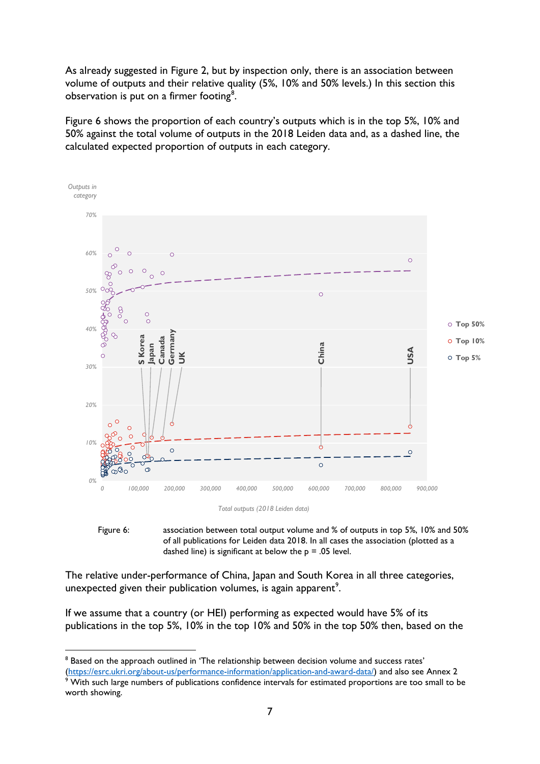As already suggested in Figure 2, but by inspection only, there is an association between volume of outputs and their relative quality (5%, 10% and 50% levels.) In this section this observation is put on a firmer footing<sup>[8](#page-6-0)</sup>.

Figure 6 shows the proportion of each country's outputs which is in the top 5%, 10% and 50% against the total volume of outputs in the 2018 Leiden data and, as a dashed line, the calculated expected proportion of outputs in each category.



*Total outputs (2018 Leiden data)*



The relative under-performance of China, Japan and South Korea in all three categories, unexpected given their publication volumes, is again apparent<sup>[9](#page-6-1)</sup>.

If we assume that a country (or HEI) performing as expected would have 5% of its publications in the top 5%, 10% in the top 10% and 50% in the top 50% then, based on the

<sup>&</sup>lt;sup>8</sup> Based on the approach outlined in 'The relationship between decision volume and success rates'

<span id="page-6-1"></span><span id="page-6-0"></span>[<sup>\(</sup>https://esrc.ukri.org/about-us/performance-information/application-and-award-data/\)](https://esrc.ukri.org/about-us/performance-information/application-and-award-data/) and also see Annex 2<br><sup>9</sup> With such large numbers of a lately With such large numbers of publications confidence intervals for estimated proportions are too small to be worth showing.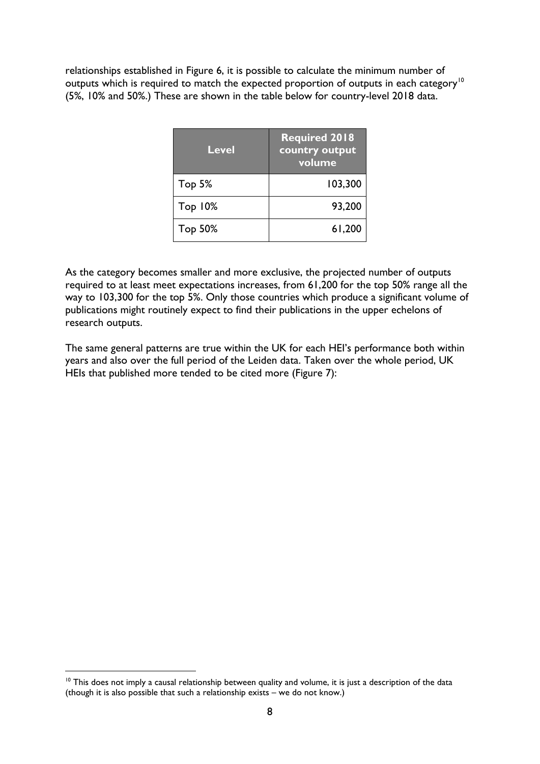relationships established in Figure 6, it is possible to calculate the minimum number of outputs which is required to match the expected proportion of outputs in each category<sup>[10](#page-7-0)</sup> (5%, 10% and 50%.) These are shown in the table below for country-level 2018 data.

| <b>Level</b>   | <b>Required 2018</b><br>country output<br>volume |
|----------------|--------------------------------------------------|
| Top 5%         | 103,300                                          |
| <b>Top 10%</b> | 93,200                                           |
| Top 50%        | 61,200                                           |

As the category becomes smaller and more exclusive, the projected number of outputs required to at least meet expectations increases, from 61,200 for the top 50% range all the way to 103,300 for the top 5%. Only those countries which produce a significant volume of publications might routinely expect to find their publications in the upper echelons of research outputs.

The same general patterns are true within the UK for each HEI's performance both within years and also over the full period of the Leiden data. Taken over the whole period, UK HEIs that published more tended to be cited more (Figure 7):

<span id="page-7-0"></span> $10$  This does not imply a causal relationship between quality and volume, it is just a description of the data (though it is also possible that such a relationship exists – we do not know.)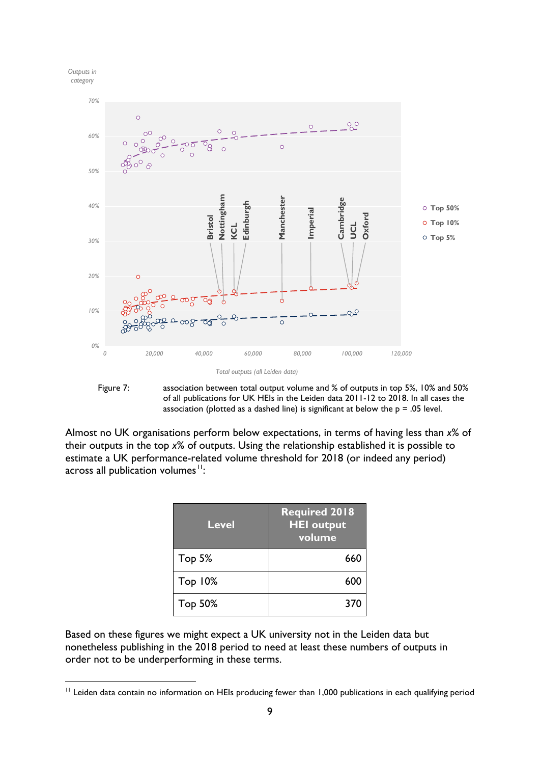



Figure 7: association between total output volume and % of outputs in top 5%, 10% and 50% of all publications for UK HEIs in the Leiden data 2011-12 to 2018. In all cases the association (plotted as a dashed line) is significant at below the  $p = .05$  level.

Almost no UK organisations perform below expectations, in terms of having less than *x*% of their outputs in the top *x*% of outputs. Using the relationship established it is possible to estimate a UK performance-related volume threshold for 2018 (or indeed any period) across all publication volumes $11$ :

| <b>Level</b>   | <b>Required 2018</b><br><b>HEI</b> output<br>volume |
|----------------|-----------------------------------------------------|
| Top 5%         | 660                                                 |
| <b>Top 10%</b> | 600                                                 |
| Top 50%        | 370                                                 |

Based on these figures we might expect a UK university not in the Leiden data but nonetheless publishing in the 2018 period to need at least these numbers of outputs in order not to be underperforming in these terms.

<span id="page-8-0"></span>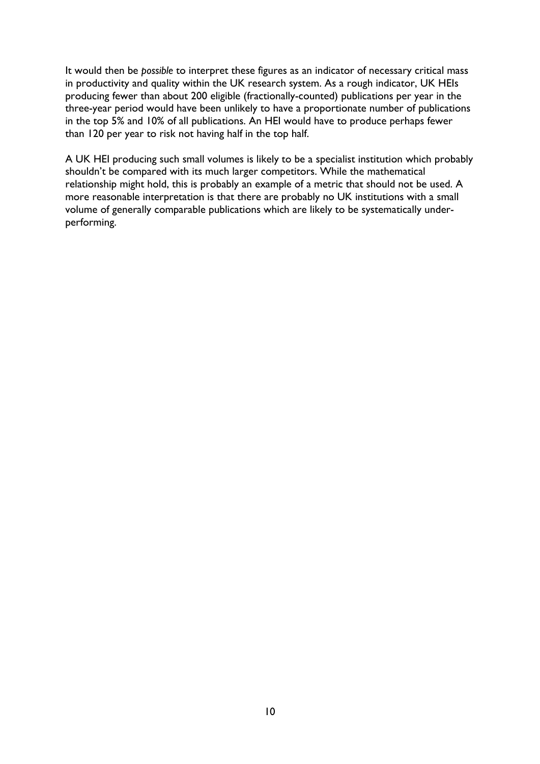It would then be *possible* to interpret these figures as an indicator of necessary critical mass in productivity and quality within the UK research system. As a rough indicator, UK HEIs producing fewer than about 200 eligible (fractionally-counted) publications per year in the three-year period would have been unlikely to have a proportionate number of publications in the top 5% and 10% of all publications. An HEI would have to produce perhaps fewer than 120 per year to risk not having half in the top half.

A UK HEI producing such small volumes is likely to be a specialist institution which probably shouldn't be compared with its much larger competitors. While the mathematical relationship might hold, this is probably an example of a metric that should not be used. A more reasonable interpretation is that there are probably no UK institutions with a small volume of generally comparable publications which are likely to be systematically underperforming.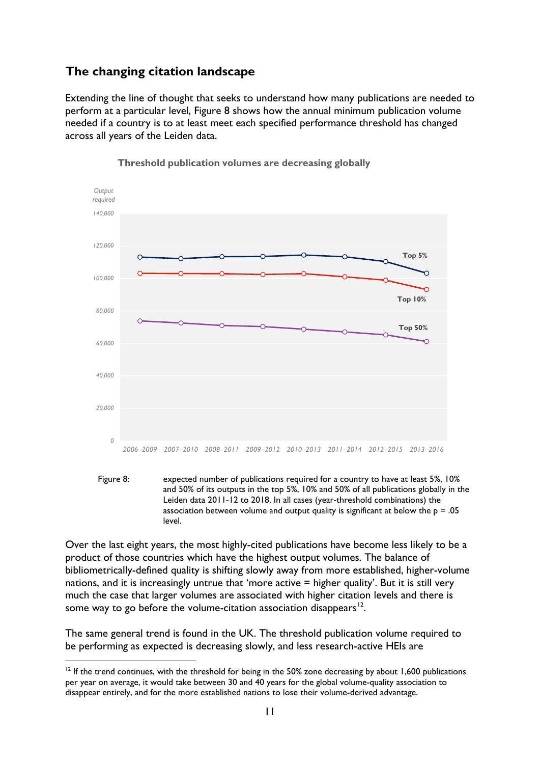### <span id="page-10-0"></span>**The changing citation landscape**

Extending the line of thought that seeks to understand how many publications are needed to perform at a particular level, Figure 8 shows how the annual minimum publication volume needed if a country is to at least meet each specified performance threshold has changed across all years of the Leiden data.





Over the last eight years, the most highly-cited publications have become less likely to be a product of those countries which have the highest output volumes. The balance of bibliometrically-defined quality is shifting slowly away from more established, higher-volume nations, and it is increasingly untrue that 'more active = higher quality'. But it is still very much the case that larger volumes are associated with higher citation levels and there is some way to go before the volume-citation association disappears<sup>12</sup>.

The same general trend is found in the UK. The threshold publication volume required to be performing as expected is decreasing slowly, and less research-active HEIs are

Figure 8: expected number of publications required for a country to have at least 5%, 10% and 50% of its outputs in the top 5%, 10% and 50% of all publications globally in the Leiden data 2011-12 to 2018. In all cases (year-threshold combinations) the association between volume and output quality is significant at below the  $p = .05$ level.

<span id="page-10-1"></span><sup>&</sup>lt;sup>12</sup> If the trend continues, with the threshold for being in the 50% zone decreasing by about 1,600 publications per year on average, it would take between 30 and 40 years for the global volume-quality association to disappear entirely, and for the more established nations to lose their volume-derived advantage.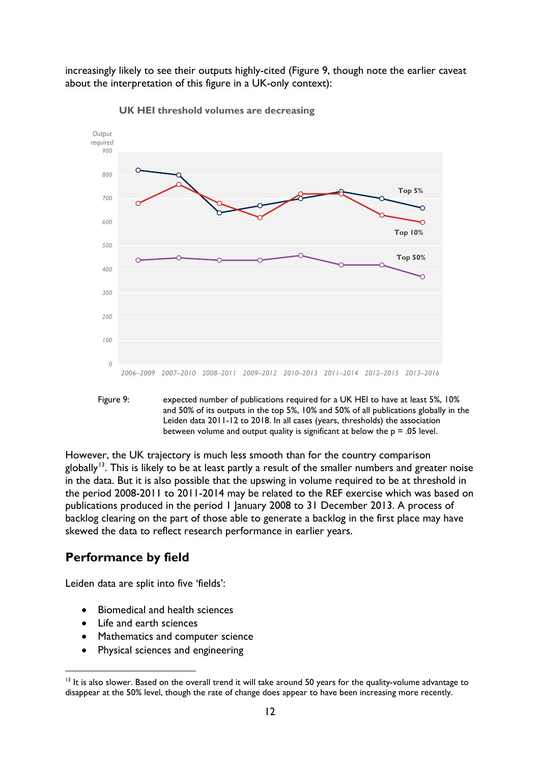increasingly likely to see their outputs highly-cited (Figure 9, though note the earlier caveat about the interpretation of this figure in a UK-only context):



**UK HEI threshold volumes are decreasing**



However, the UK trajectory is much less smooth than for the country comparison globally<sup>13</sup>. This is likely to be at least partly a result of the smaller numbers and greater noise in the data. But it is also possible that the upswing in volume required to be at threshold in the period 2008-2011 to 2011-2014 may be related to the REF exercise which was based on publications produced in the period 1 January 2008 to 31 December 2013. A process of backlog clearing on the part of those able to generate a backlog in the first place may have skewed the data to reflect research performance in earlier years.

#### <span id="page-11-0"></span>**Performance by field**

Leiden data are split into five 'fields':

- Biomedical and health sciences
- Life and earth sciences
- Mathematics and computer science
- Physical sciences and engineering

<span id="page-11-1"></span><sup>&</sup>lt;sup>13</sup> It is also slower. Based on the overall trend it will take around 50 years for the quality-volume advantage to disappear at the 50% level, though the rate of change does appear to have been increasing more recently.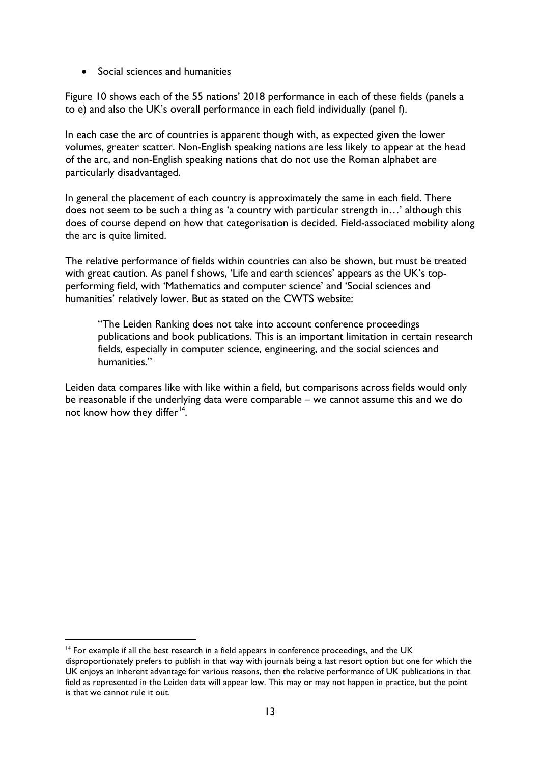• Social sciences and humanities

Figure 10 shows each of the 55 nations' 2018 performance in each of these fields (panels a to e) and also the UK's overall performance in each field individually (panel f).

In each case the arc of countries is apparent though with, as expected given the lower volumes, greater scatter. Non-English speaking nations are less likely to appear at the head of the arc, and non-English speaking nations that do not use the Roman alphabet are particularly disadvantaged.

In general the placement of each country is approximately the same in each field. There does not seem to be such a thing as 'a country with particular strength in…' although this does of course depend on how that categorisation is decided. Field-associated mobility along the arc is quite limited.

The relative performance of fields within countries can also be shown, but must be treated with great caution. As panel f shows, 'Life and earth sciences' appears as the UK's topperforming field, with 'Mathematics and computer science' and 'Social sciences and humanities' relatively lower. But as stated on the CWTS website:

"The Leiden Ranking does not take into account conference proceedings publications and book publications. This is an important limitation in certain research fields, especially in computer science, engineering, and the social sciences and humanities."

Leiden data compares like with like within a field, but comparisons across fields would only be reasonable if the underlying data were comparable – we cannot assume this and we do not know how they differ<sup>[14](#page-12-0)</sup>.

 $14$  For example if all the best research in a field appears in conference proceedings, and the UK

<span id="page-12-0"></span>disproportionately prefers to publish in that way with journals being a last resort option but one for which the UK enjoys an inherent advantage for various reasons, then the relative performance of UK publications in that field as represented in the Leiden data will appear low. This may or may not happen in practice, but the point is that we cannot rule it out.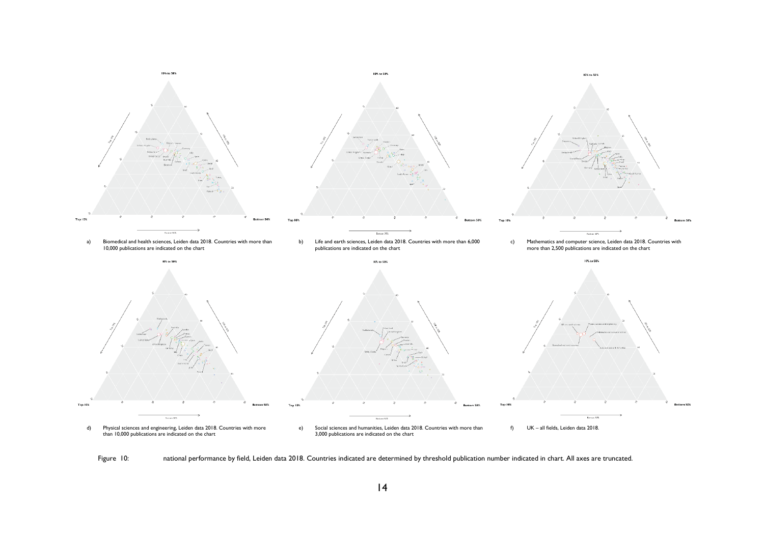

Figure 10: national performance by field, Leiden data 2018. Countries indicated are determined by threshold publication number indicated in chart. All axes are truncated.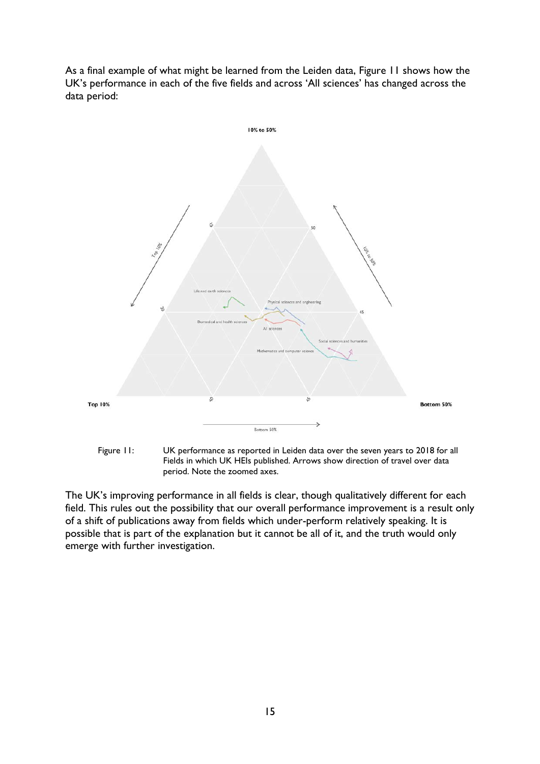As a final example of what might be learned from the Leiden data, Figure 11 shows how the UK's performance in each of the five fields and across 'All sciences' has changed across the data period:





The UK's improving performance in all fields is clear, though qualitatively different for each field. This rules out the possibility that our overall performance improvement is a result only of a shift of publications away from fields which under-perform relatively speaking. It is possible that is part of the explanation but it cannot be all of it, and the truth would only emerge with further investigation.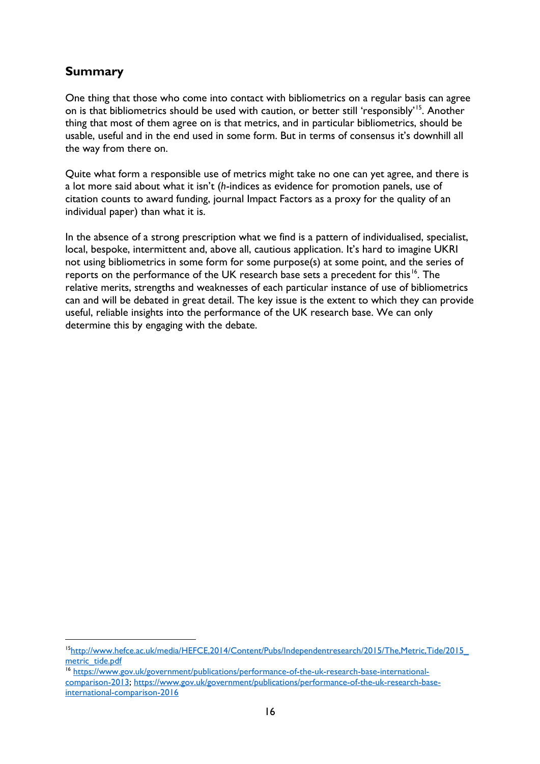### <span id="page-15-0"></span>**Summary**

One thing that those who come into contact with bibliometrics on a regular basis can agree on is that bibliometrics should be used with caution, or better still 'responsibly'<sup>[15](#page-15-1)</sup>. Another thing that most of them agree on is that metrics, and in particular bibliometrics, should be usable, useful and in the end used in some form. But in terms of consensus it's downhill all the way from there on.

Quite what form a responsible use of metrics might take no one can yet agree, and there is a lot more said about what it isn't (*h*-indices as evidence for promotion panels, use of citation counts to award funding, journal Impact Factors as a proxy for the quality of an individual paper) than what it is.

In the absence of a strong prescription what we find is a pattern of individualised, specialist, local, bespoke, intermittent and, above all, cautious application. It's hard to imagine UKRI not using bibliometrics in some form for some purpose(s) at some point, and the series of reports on the performance of the UK research base sets a precedent for this<sup>[16](#page-15-2)</sup>. The relative merits, strengths and weaknesses of each particular instance of use of bibliometrics can and will be debated in great detail. The key issue is the extent to which they can provide useful, reliable insights into the performance of the UK research base. We can only determine this by engaging with the debate.

<span id="page-15-1"></span> <sup>1</sup>[5http://www.hefce.ac.uk/media/HEFCE,2014/Content/Pubs/Independentresearch/2015/The,Metric,Tide/2015\\_](http://www.hefce.ac.uk/media/HEFCE,2014/Content/Pubs/Independentresearch/2015/The,Metric,Tide/2015_metric_tide.pdf) [metric\\_tide.pdf](http://www.hefce.ac.uk/media/HEFCE,2014/Content/Pubs/Independentresearch/2015/The,Metric,Tide/2015_metric_tide.pdf)

<span id="page-15-2"></span><sup>16</sup> [https://www.gov.uk/government/publications/performance-of-the-uk-research-base-international](https://www.gov.uk/government/publications/performance-of-the-uk-research-base-international-comparison-2013)[comparison-2013;](https://www.gov.uk/government/publications/performance-of-the-uk-research-base-international-comparison-2013) [https://www.gov.uk/government/publications/performance-of-the-uk-research-base](https://www.gov.uk/government/publications/performance-of-the-uk-research-base-international-comparison-2016)[international-comparison-2016](https://www.gov.uk/government/publications/performance-of-the-uk-research-base-international-comparison-2016)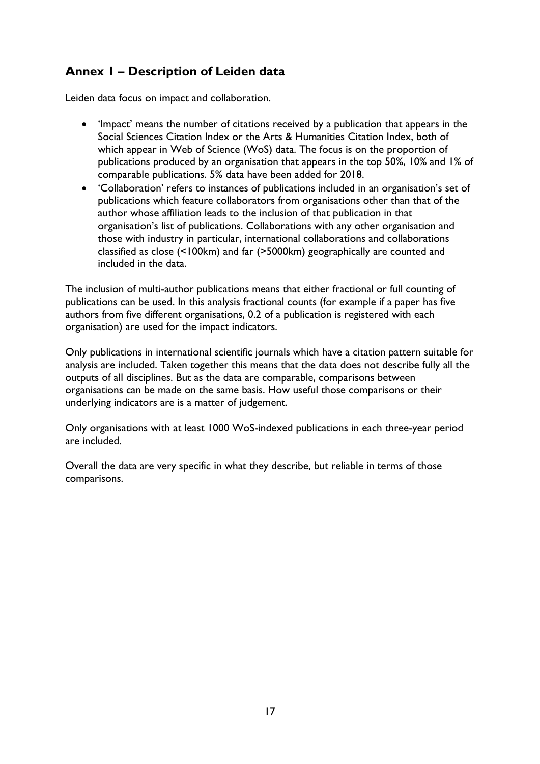## <span id="page-16-0"></span>**Annex 1 – Description of Leiden data**

Leiden data focus on impact and collaboration.

- 'Impact' means the number of citations received by a publication that appears in the Social Sciences Citation Index or the Arts & Humanities Citation Index, both of which appear in Web of Science (WoS) data. The focus is on the proportion of publications produced by an organisation that appears in the top 50%, 10% and 1% of comparable publications. 5% data have been added for 2018.
- 'Collaboration' refers to instances of publications included in an organisation's set of publications which feature collaborators from organisations other than that of the author whose affiliation leads to the inclusion of that publication in that organisation's list of publications. Collaborations with any other organisation and those with industry in particular, international collaborations and collaborations classified as close (<100km) and far (>5000km) geographically are counted and included in the data.

The inclusion of multi-author publications means that either fractional or full counting of publications can be used. In this analysis fractional counts (for example if a paper has five authors from five different organisations, 0.2 of a publication is registered with each organisation) are used for the impact indicators.

Only publications in international scientific journals which have a citation pattern suitable for analysis are included. Taken together this means that the data does not describe fully all the outputs of all disciplines. But as the data are comparable, comparisons between organisations can be made on the same basis. How useful those comparisons or their underlying indicators are is a matter of judgement.

Only organisations with at least 1000 WoS-indexed publications in each three-year period are included.

Overall the data are very specific in what they describe, but reliable in terms of those comparisons.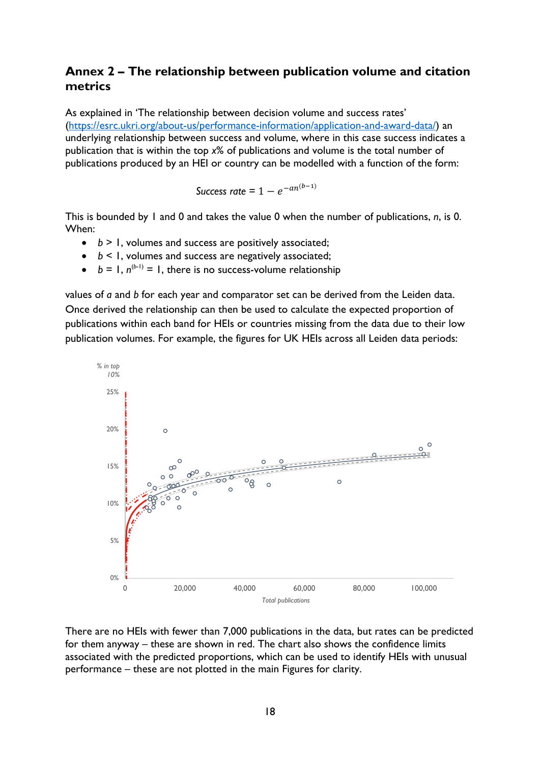#### <span id="page-17-0"></span>**Annex 2 – The relationship between publication volume and citation metrics**

As explained in 'The relationship between decision volume and success rates' [\(https://esrc.ukri.org/about-us/performance-information/application-and-award-data/\)](https://esrc.ukri.org/about-us/performance-information/application-and-award-data/) an underlying relationship between success and volume, where in this case success indicates a publication that is within the top *x*% of publications and volume is the total number of publications produced by an HEI or country can be modelled with a function of the form:

*Success rate* =  $1 - e^{-an(b-1)}$ 

This is bounded by 1 and 0 and takes the value 0 when the number of publications, *n*, is 0. When:

- *b* > 1, volumes and success are positively associated;
- *b* < 1, volumes and success are negatively associated;
- $b = 1, n^{(b-1)} = 1$ , there is no success-volume relationship

values of *a* and *b* for each year and comparator set can be derived from the Leiden data. Once derived the relationship can then be used to calculate the expected proportion of publications within each band for HEIs or countries missing from the data due to their low publication volumes. For example, the figures for UK HEIs across all Leiden data periods:



There are no HEIs with fewer than 7,000 publications in the data, but rates can be predicted for them anyway – these are shown in red. The chart also shows the confidence limits associated with the predicted proportions, which can be used to identify HEIs with unusual performance – these are not plotted in the main Figures for clarity.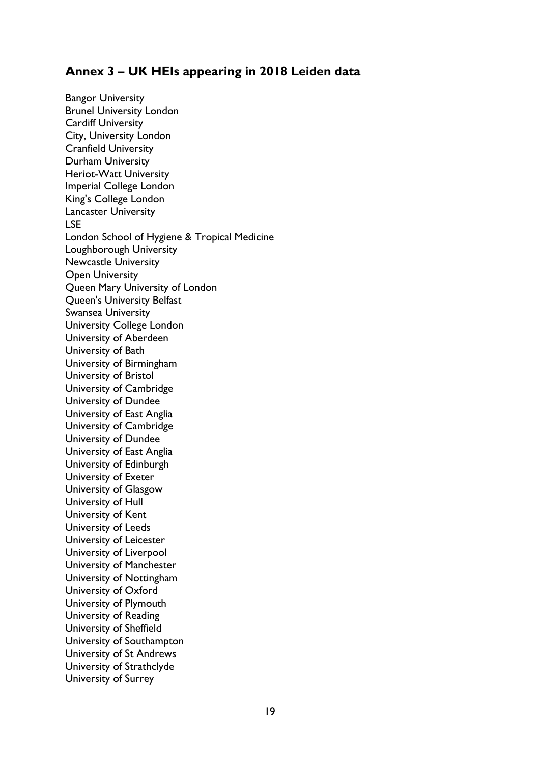### <span id="page-18-0"></span>**Annex 3 – UK HEIs appearing in 2018 Leiden data**

Bangor University Brunel University London Cardiff University City, University London Cranfield University Durham University Heriot-Watt University Imperial College London King's College London Lancaster University LSE London School of Hygiene & Tropical Medicine Loughborough University Newcastle University Open University Queen Mary University of London Queen's University Belfast Swansea University University College London University of Aberdeen University of Bath University of Birmingham University of Bristol University of Cambridge University of Dundee University of East Anglia University of Cambridge University of Dundee University of East Anglia University of Edinburgh University of Exeter University of Glasgow University of Hull University of Kent University of Leeds University of Leicester University of Liverpool University of Manchester University of Nottingham University of Oxford University of Plymouth University of Reading University of Sheffield University of Southampton University of St Andrews University of Strathclyde University of Surrey